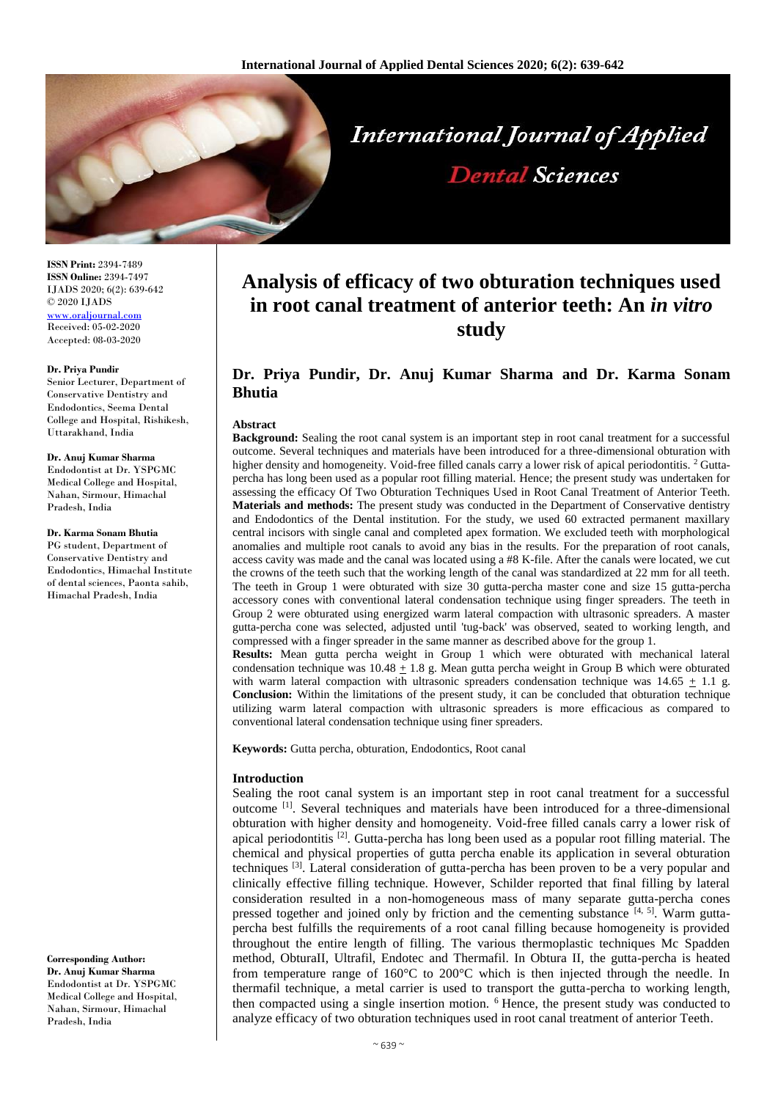

**ISSN Print:** 2394-7489 **ISSN Online:** 2394-7497 IJADS 2020; 6(2): 639-642 © 2020 IJADS [www.oraljournal.com](http://www.oraljournal.com/) Received: 05-02-2020 Accepted: 08-03-2020

#### **Dr. Priya Pundir**

Senior Lecturer, Department of Conservative Dentistry and Endodontics, Seema Dental College and Hospital, Rishikesh, Uttarakhand, India

## **Dr. Anuj Kumar Sharma**

Endodontist at Dr. YSPGMC Medical College and Hospital, Nahan, Sirmour, Himachal Pradesh, India

### **Dr. Karma Sonam Bhutia**

PG student, Department of Conservative Dentistry and Endodontics, Himachal Institute of dental sciences, Paonta sahib, Himachal Pradesh, India

**Corresponding Author:**

**Dr. Anuj Kumar Sharma** Endodontist at Dr. YSPGMC Medical College and Hospital, Nahan, Sirmour, Himachal Pradesh, India

# **Analysis of efficacy of two obturation techniques used in root canal treatment of anterior teeth: An** *in vitro* **study**

# **Dr. Priya Pundir, Dr. Anuj Kumar Sharma and Dr. Karma Sonam Bhutia**

#### **Abstract**

**Background:** Sealing the root canal system is an important step in root canal treatment for a successful outcome. Several techniques and materials have been introduced for a three-dimensional obturation with higher density and homogeneity. Void-free filled canals carry a lower risk of apical periodontitis. <sup>2</sup> Guttapercha has long been used as a popular root filling material. Hence; the present study was undertaken for assessing the efficacy Of Two Obturation Techniques Used in Root Canal Treatment of Anterior Teeth. **Materials and methods:** The present study was conducted in the Department of Conservative dentistry and Endodontics of the Dental institution. For the study, we used 60 extracted permanent maxillary central incisors with single canal and completed apex formation. We excluded teeth with morphological anomalies and multiple root canals to avoid any bias in the results. For the preparation of root canals, access cavity was made and the canal was located using a #8 K-file. After the canals were located, we cut the crowns of the teeth such that the working length of the canal was standardized at 22 mm for all teeth. The teeth in Group 1 were obturated with size 30 gutta-percha master cone and size 15 gutta-percha accessory cones with conventional lateral condensation technique using finger spreaders. The teeth in Group 2 were obturated using energized warm lateral compaction with ultrasonic spreaders. A master gutta-percha cone was selected, adjusted until 'tug-back' was observed, seated to working length, and compressed with a finger spreader in the same manner as described above for the group 1.

**Results:** Mean gutta percha weight in Group 1 which were obturated with mechanical lateral condensation technique was  $10.48 \pm 1.8$  g. Mean gutta percha weight in Group B which were obturated with warm lateral compaction with ultrasonic spreaders condensation technique was  $14.65 \pm 1.1$  g. **Conclusion:** Within the limitations of the present study, it can be concluded that obturation technique utilizing warm lateral compaction with ultrasonic spreaders is more efficacious as compared to conventional lateral condensation technique using finer spreaders.

**Keywords:** Gutta percha, obturation, Endodontics, Root canal

#### **Introduction**

Sealing the root canal system is an important step in root canal treatment for a successful outcome [1] . Several techniques and materials have been introduced for a three-dimensional obturation with higher density and homogeneity. Void-free filled canals carry a lower risk of apical periodontitis  $^{[2]}$ . Gutta-percha has long been used as a popular root filling material. The chemical and physical properties of gutta percha enable its application in several obturation techniques  $\left[3\right]$ . Lateral consideration of gutta-percha has been proven to be a very popular and clinically effective filling technique. However, Schilder reported that final filling by lateral consideration resulted in a non-homogeneous mass of many separate gutta-percha cones pressed together and joined only by friction and the cementing substance  $[4, 5]$ . Warm guttapercha best fulfills the requirements of a root canal filling because homogeneity is provided throughout the entire length of filling. The various thermoplastic techniques Mc Spadden method, ObturaII, Ultrafil, Endotec and Thermafil. In Obtura II, the gutta-percha is heated from temperature range of 160°C to 200°C which is then injected through the needle. In thermafil technique, a metal carrier is used to transport the gutta-percha to working length, then compacted using a single insertion motion. <sup>6</sup> Hence, the present study was conducted to analyze efficacy of two obturation techniques used in root canal treatment of anterior Teeth.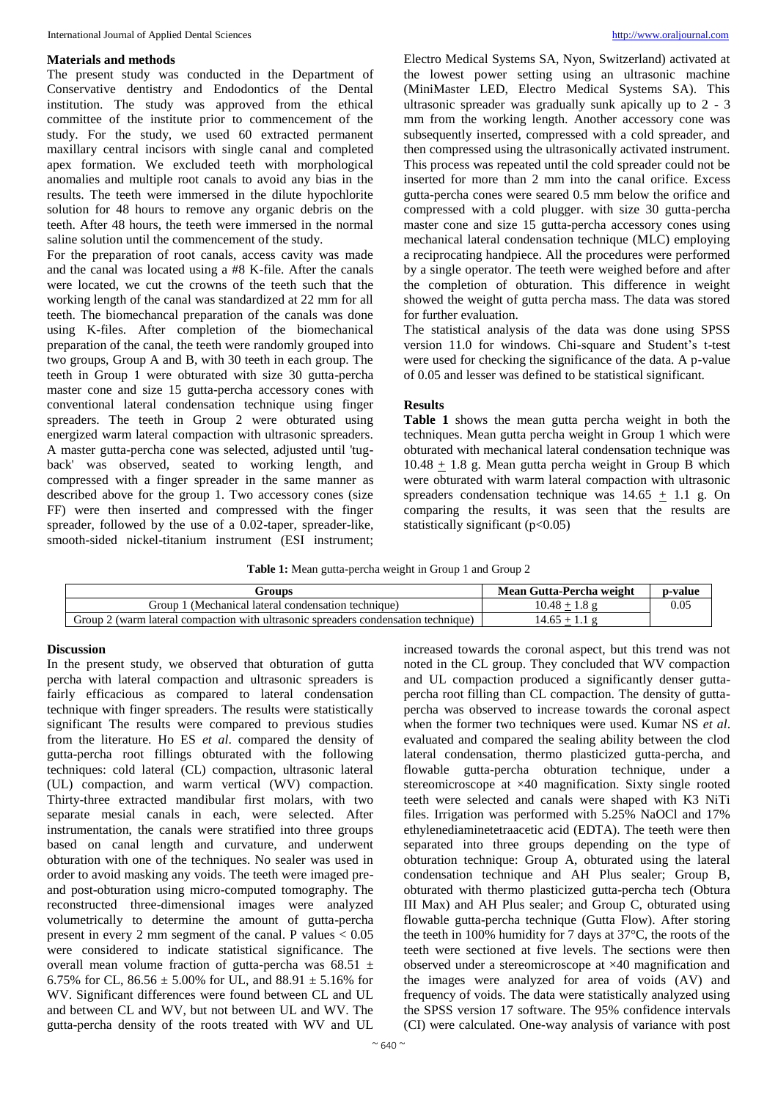# **Materials and methods**

The present study was conducted in the Department of Conservative dentistry and Endodontics of the Dental institution. The study was approved from the ethical committee of the institute prior to commencement of the study. For the study, we used 60 extracted permanent maxillary central incisors with single canal and completed apex formation. We excluded teeth with morphological anomalies and multiple root canals to avoid any bias in the results. The teeth were immersed in the dilute hypochlorite solution for 48 hours to remove any organic debris on the teeth. After 48 hours, the teeth were immersed in the normal saline solution until the commencement of the study.

For the preparation of root canals, access cavity was made and the canal was located using a #8 K-file. After the canals were located, we cut the crowns of the teeth such that the working length of the canal was standardized at 22 mm for all teeth. The biomechancal preparation of the canals was done using K-files. After completion of the biomechanical preparation of the canal, the teeth were randomly grouped into two groups, Group A and B, with 30 teeth in each group. The teeth in Group 1 were obturated with size 30 gutta-percha master cone and size 15 gutta-percha accessory cones with conventional lateral condensation technique using finger spreaders. The teeth in Group 2 were obturated using energized warm lateral compaction with ultrasonic spreaders. A master gutta-percha cone was selected, adjusted until 'tugback' was observed, seated to working length, and compressed with a finger spreader in the same manner as described above for the group 1. Two accessory cones (size FF) were then inserted and compressed with the finger spreader, followed by the use of a 0.02-taper, spreader-like, smooth-sided nickel-titanium instrument (ESI instrument; Electro Medical Systems SA, Nyon, Switzerland) activated at the lowest power setting using an ultrasonic machine (MiniMaster LED, Electro Medical Systems SA). This ultrasonic spreader was gradually sunk apically up to 2 - 3 mm from the working length. Another accessory cone was subsequently inserted, compressed with a cold spreader, and then compressed using the ultrasonically activated instrument. This process was repeated until the cold spreader could not be inserted for more than 2 mm into the canal orifice. Excess gutta-percha cones were seared 0.5 mm below the orifice and compressed with a cold plugger. with size 30 gutta-percha master cone and size 15 gutta-percha accessory cones using mechanical lateral condensation technique (MLC) employing a reciprocating handpiece. All the procedures were performed by a single operator. The teeth were weighed before and after the completion of obturation. This difference in weight showed the weight of gutta percha mass. The data was stored for further evaluation.

The statistical analysis of the data was done using SPSS version 11.0 for windows. Chi-square and Student's t-test were used for checking the significance of the data. A p-value of 0.05 and lesser was defined to be statistical significant.

# **Results**

**Table 1** shows the mean gutta percha weight in both the techniques. Mean gutta percha weight in Group 1 which were obturated with mechanical lateral condensation technique was  $10.48 + 1.8$  g. Mean gutta percha weight in Group B which were obturated with warm lateral compaction with ultrasonic spreaders condensation technique was  $14.65 + 1.1$  g. On comparing the results, it was seen that the results are statistically significant  $(p<0.05)$ 

**Table 1:** Mean gutta-percha weight in Group 1 and Group 2

| Groups                                                                                | Mean Gutta-Percha weight | p-value |
|---------------------------------------------------------------------------------------|--------------------------|---------|
| froup :<br>. (Mechanical lateral condensation technique)                              | .0.48                    | 0.05    |
| Group 1<br>(warm lateral compaction with ultrasonic spreaders condensation technique) | 4.65                     |         |

# **Discussion**

In the present study, we observed that obturation of gutta percha with lateral compaction and ultrasonic spreaders is fairly efficacious as compared to lateral condensation technique with finger spreaders. The results were statistically significant The results were compared to previous studies from the literature. Ho ES *et al*. compared the density of gutta-percha root fillings obturated with the following techniques: cold lateral (CL) compaction, ultrasonic lateral (UL) compaction, and warm vertical (WV) compaction. Thirty-three extracted mandibular first molars, with two separate mesial canals in each, were selected. After instrumentation, the canals were stratified into three groups based on canal length and curvature, and underwent obturation with one of the techniques. No sealer was used in order to avoid masking any voids. The teeth were imaged preand post-obturation using micro-computed tomography. The reconstructed three-dimensional images were analyzed volumetrically to determine the amount of gutta-percha present in every 2 mm segment of the canal. P values  $< 0.05$ were considered to indicate statistical significance. The overall mean volume fraction of gutta-percha was  $68.51 \pm$ 6.75% for CL,  $86.56 \pm 5.00\%$  for UL, and  $88.91 \pm 5.16\%$  for WV. Significant differences were found between CL and UL and between CL and WV, but not between UL and WV. The gutta-percha density of the roots treated with WV and UL

increased towards the coronal aspect, but this trend was not noted in the CL group. They concluded that WV compaction and UL compaction produced a significantly denser guttapercha root filling than CL compaction. The density of guttapercha was observed to increase towards the coronal aspect when the former two techniques were used. Kumar NS *et al*. evaluated and compared the sealing ability between the clod lateral condensation, thermo plasticized gutta-percha, and flowable gutta-percha obturation technique, under a stereomicroscope at ×40 magnification. Sixty single rooted teeth were selected and canals were shaped with K3 NiTi files. Irrigation was performed with 5.25% NaOCl and 17% ethylenediaminetetraacetic acid (EDTA). The teeth were then separated into three groups depending on the type of obturation technique: Group A, obturated using the lateral condensation technique and AH Plus sealer; Group B, obturated with thermo plasticized gutta-percha tech (Obtura III Max) and AH Plus sealer; and Group C, obturated using flowable gutta-percha technique (Gutta Flow). After storing the teeth in 100% humidity for 7 days at 37°C, the roots of the teeth were sectioned at five levels. The sections were then observed under a stereomicroscope at ×40 magnification and the images were analyzed for area of voids (AV) and frequency of voids. The data were statistically analyzed using the SPSS version 17 software. The 95% confidence intervals (CI) were calculated. One-way analysis of variance with post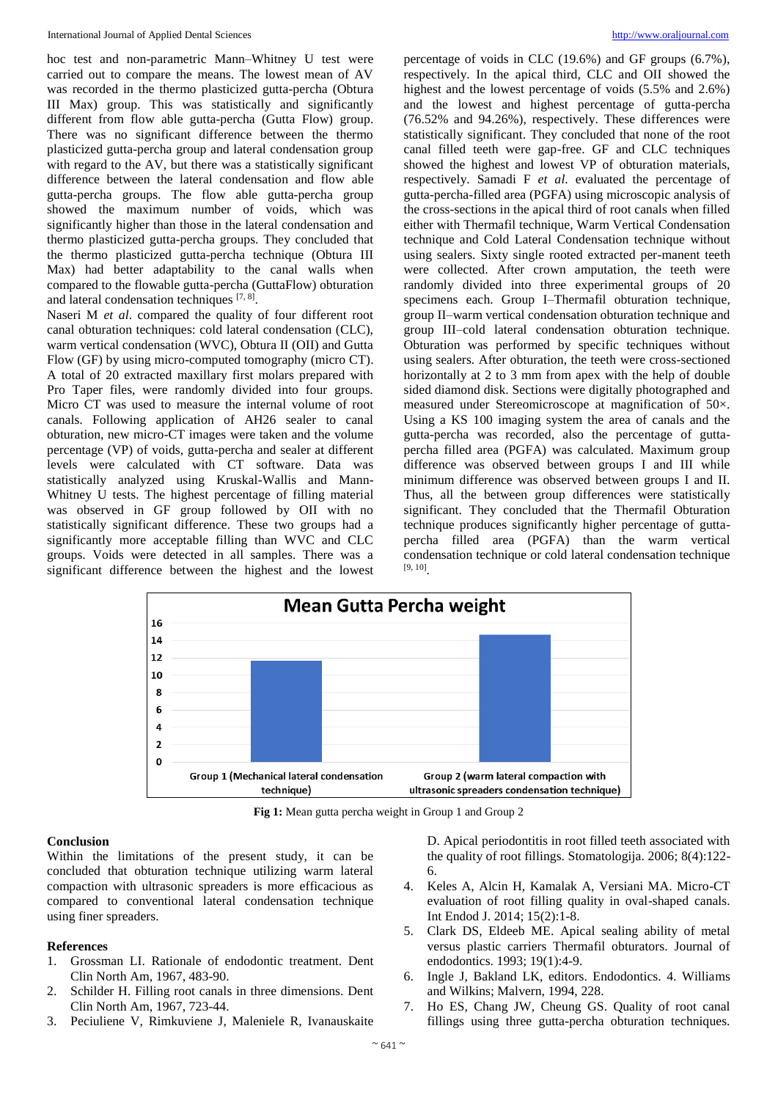hoc test and non-parametric Mann–Whitney U test were carried out to compare the means. The lowest mean of AV was recorded in the thermo plasticized gutta-percha (Obtura III Max) group. This was statistically and significantly different from flow able gutta-percha (Gutta Flow) group. There was no significant difference between the thermo plasticized gutta-percha group and lateral condensation group with regard to the AV, but there was a statistically significant difference between the lateral condensation and flow able gutta-percha groups. The flow able gutta-percha group showed the maximum number of voids, which was significantly higher than those in the lateral condensation and thermo plasticized gutta-percha groups. They concluded that the thermo plasticized gutta-percha technique (Obtura III Max) had better adaptability to the canal walls when compared to the flowable gutta-percha (GuttaFlow) obturation and lateral condensation techniques  $[7, 8]$ .

Naseri M *et al*. compared the quality of four different root canal obturation techniques: cold lateral condensation (CLC), warm vertical condensation (WVC), Obtura II (OII) and Gutta Flow (GF) by using micro-computed tomography (micro CT). A total of 20 extracted maxillary first molars prepared with Pro Taper files, were randomly divided into four groups. Micro CT was used to measure the internal volume of root canals. Following application of AH26 sealer to canal obturation, new micro-CT images were taken and the volume percentage (VP) of voids, gutta-percha and sealer at different levels were calculated with CT software. Data was statistically analyzed using Kruskal-Wallis and Mann-Whitney U tests. The highest percentage of filling material was observed in GF group followed by OII with no statistically significant difference. These two groups had a significantly more acceptable filling than WVC and CLC groups. Voids were detected in all samples. There was a significant difference between the highest and the lowest percentage of voids in CLC (19.6%) and GF groups (6.7%), respectively. In the apical third, CLC and OII showed the highest and the lowest percentage of voids (5.5% and 2.6%) and the lowest and highest percentage of gutta-percha (76.52% and 94.26%), respectively. These differences were statistically significant. They concluded that none of the root canal filled teeth were gap-free. GF and CLC techniques showed the highest and lowest VP of obturation materials, respectively. Samadi F *et al*. evaluated the percentage of gutta-percha-filled area (PGFA) using microscopic analysis of the cross-sections in the apical third of root canals when filled either with Thermafil technique, Warm Vertical Condensation technique and Cold Lateral Condensation technique without using sealers. Sixty single rooted extracted per-manent teeth were collected. After crown amputation, the teeth were randomly divided into three experimental groups of 20 specimens each. Group I–Thermafil obturation technique, group II–warm vertical condensation obturation technique and group III–cold lateral condensation obturation technique. Obturation was performed by specific techniques without using sealers. After obturation, the teeth were cross-sectioned horizontally at 2 to 3 mm from apex with the help of double sided diamond disk. Sections were digitally photographed and measured under Stereomicroscope at magnification of 50×. Using a KS 100 imaging system the area of canals and the gutta-percha was recorded, also the percentage of guttapercha filled area (PGFA) was calculated. Maximum group difference was observed between groups I and III while minimum difference was observed between groups I and II. Thus, all the between group differences were statistically significant. They concluded that the Thermafil Obturation technique produces significantly higher percentage of guttapercha filled area (PGFA) than the warm vertical condensation technique or cold lateral condensation technique [9, 10] .



Fig 1: Mean gutta percha weight in Group 1 and Group 2

# **Conclusion**

Within the limitations of the present study, it can be concluded that obturation technique utilizing warm lateral compaction with ultrasonic spreaders is more efficacious as compared to conventional lateral condensation technique using finer spreaders.

# **References**

- 1. Grossman LI. Rationale of endodontic treatment. Dent Clin North Am, 1967, 483-90.
- 2. Schilder H. Filling root canals in three dimensions. Dent Clin North Am, 1967, 723-44.
- 3. Peciuliene V, Rimkuviene J, Maleniele R, Ivanauskaite

D. Apical periodontitis in root filled teeth associated with the quality of root fillings. Stomatologija. 2006; 8(4):122- 6.

- 4. Keles A, Alcin H, Kamalak A, Versiani MA. Micro-CT evaluation of root filling quality in oval-shaped canals. Int Endod J. 2014; 15(2):1-8.
- 5. Clark DS, Eldeeb ME. Apical sealing ability of metal versus plastic carriers Thermafil obturators. Journal of endodontics. 1993; 19(1):4-9.
- 6. Ingle J, Bakland LK, editors. Endodontics. 4. Williams and Wilkins; Malvern, 1994, 228.
- 7. Ho ES, Chang JW, Cheung GS. Quality of root canal fillings using three gutta-percha obturation techniques.